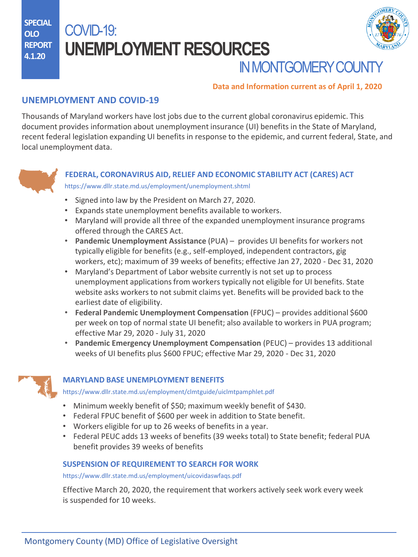**SPECIAL OLO REPORT 4.1.20**

# COVID-19: **UNEMPLOYMENT RESOURCES**



# **IN MONTGOMERY COUNT**

### **Data and Information current as of April 1, 2020**

# **UNEMPLOYMENT AND COVID-19**

Thousands of Maryland workers have lost jobs due to the current global coronavirus epidemic. This document provides information about unemployment insurance (UI) benefits in the State of Maryland, recent federal legislation expanding UI benefits in response to the epidemic, and current federal, State, and local unemployment data.



## **FEDERAL, CORONAVIRUS AID, RELIEF AND ECONOMIC STABILITY ACT (CARES) ACT** <https://www.dllr.state.md.us/employment/unemployment.shtml>

- Signed into law by the President on March 27, 2020.
- Expands state unemployment benefits available to workers.
- Maryland will provide all three of the expanded unemployment insurance programs offered through the CARES Act.
- **Pandemic Unemployment Assistance** (PUA) provides UI benefits for workers not typically eligible for benefits (e.g., self-employed, independent contractors, gig workers, etc); maximum of 39 weeks of benefits; effective Jan 27, 2020 - Dec 31, 2020
- Maryland's Department of Labor website currently is not set up to process unemployment applications from workers typically not eligible for UI benefits. State website asks workers to not submit claims yet. Benefits will be provided back to the earliest date of eligibility.
- **Federal Pandemic Unemployment Compensation** (FPUC) provides additional \$600 per week on top of normal state UI benefit; also available to workers in PUA program; effective Mar 29, 2020 - July 31, 2020
- **Pandemic Emergency Unemployment Compensation** (PEUC) provides 13 additional weeks of UI benefits plus \$600 FPUC; effective Mar 29, 2020 - Dec 31, 2020



## **MARYLAND BASE UNEMPLOYMENT BENEFITS**

<https://www.dllr.state.md.us/employment/clmtguide/uiclmtpamphlet.pdf>

- Minimum weekly benefit of \$50; maximum weekly benefit of \$430.
- Federal FPUC benefit of \$600 per week in addition to State benefit.
- Workers eligible for up to 26 weeks of benefits in a year.
- Federal PEUC adds 13 weeks of benefits (39 weeks total) to State benefit; federal PUA benefit provides 39 weeks of benefits

## **SUSPENSION OF REQUIREMENT TO SEARCH FOR WORK**

<https://www.dllr.state.md.us/employment/uicovidaswfaqs.pdf>

Effective March 20, 2020, the requirement that workers actively seek work every week is suspended for 10 weeks.